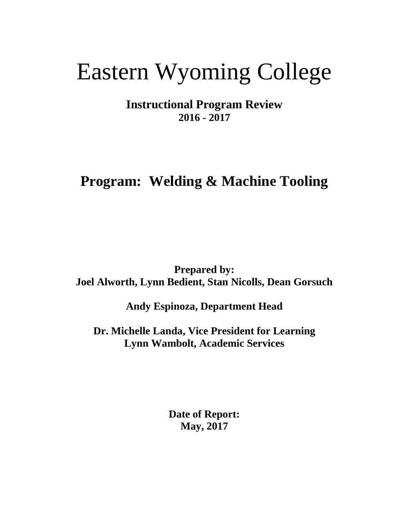# Eastern Wyoming College

**Instructional Program Review 2016 - 2017**

## **Program: Welding & Machine Tooling**

**Prepared by: Joel Alworth, Lynn Bedient, Stan Nicolls, Dean Gorsuch**

**Andy Espinoza, Department Head**

**Dr. Michelle Landa, Vice President for Learning Lynn Wambolt, Academic Services**

> **Date of Report: May, 2017**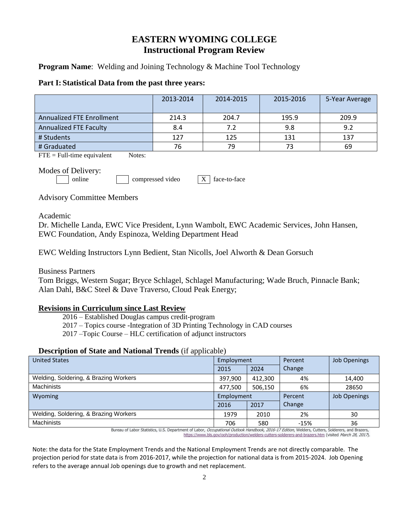### **EASTERN WYOMING COLLEGE Instructional Program Review**

**Program Name:** Welding and Joining Technology & Machine Tool Technology

#### **Part I: Statistical Data from the past three years:**

|                                  | 2013-2014 | 2014-2015 | 2015-2016 | 5-Year Average |
|----------------------------------|-----------|-----------|-----------|----------------|
| <b>Annualized FTE Enrollment</b> | 214.3     | 204.7     | 195.9     | 209.9          |
| Annualized FTE Faculty           | 8.4       | 7.2       | 9.8       | 9.2            |
| # Students                       | 127       | 125       | 131       | 137            |
| # Graduated                      | 76        | 79        |           | 69             |

 $\text{FTE} = \text{Full-time equivalent}$  Notes:

Modes of Delivery:

online compressed video X face-to-face

Advisory Committee Members

Academic

Dr. Michelle Landa, EWC Vice President, Lynn Wambolt, EWC Academic Services, John Hansen, EWC Foundation, Andy Espinoza, Welding Department Head

EWC Welding Instructors Lynn Bedient, Stan Nicolls, Joel Alworth & Dean Gorsuch

Business Partners

Tom Briggs, Western Sugar; Bryce Schlagel, Schlagel Manufacturing; Wade Bruch, Pinnacle Bank; Alan Dahl, B&C Steel & Dave Traverso, Cloud Peak Energy;

#### **Revisions in Curriculum since Last Review**

2016 – Established Douglas campus credit-program

2017 – Topics course -Integration of 3D Printing Technology in CAD courses

2017 –Topic Course – HLC certification of adjunct instructors

#### **Description of State and National Trends** (if applicable)

| <b>United States</b>                  | Employment |         | Percent | <b>Job Openings</b> |
|---------------------------------------|------------|---------|---------|---------------------|
|                                       | 2015       | 2024    | Change  |                     |
| Welding, Soldering, & Brazing Workers | 397.900    | 412.300 | 4%      | 14,400              |
| <b>Machinists</b>                     | 477.500    | 506,150 | 6%      | 28650               |
| Wyoming                               | Employment |         | Percent | <b>Job Openings</b> |
|                                       | 2016       | 2017    | Change  |                     |
| Welding, Soldering, & Brazing Workers | 1979       | 2010    | 2%      | 30                  |
| <b>Machinists</b>                     | 706        | 580     | $-15%$  | 36                  |

Bureau of Labor Statistics, U.S. Department of Labor, Occupational Outlook Handbook, 2016-17 Edition, Welders, Cutters, Solderers, and Brazers, <https://www.bls.gov/ooh/production/welders-cutters-solderers-and-brazers.htm> (visited March 28, 2017).

Note: the data for the State Employment Trends and the National Employment Trends are not directly comparable. The projection period for state data is from 2016-2017, while the projection for national data is from 2015-2024. Job Opening refers to the average annual Job openings due to growth and net replacement.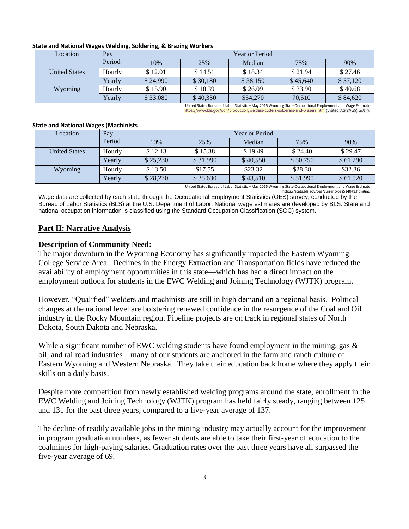| Location             | Pay    | <b>Year or Period</b> |          |          |          |          |
|----------------------|--------|-----------------------|----------|----------|----------|----------|
|                      | Period | 10%                   | 25%      | Median   | 75%      | 90%      |
| <b>United States</b> | Hourly | \$12.01               | \$14.51  | \$18.34  | \$21.94  | \$27.46  |
|                      | Yearlv | \$24.990              | \$30,180 | \$38,150 | \$45,640 | \$57,120 |
| Wyoming              | Hourly | \$15.90               | \$18.39  | \$26.09  | \$33.90  | \$40.68  |
|                      | Yearly | \$33,080              | \$40,330 | \$54,270 | 70.510   | \$84,620 |

#### **State and National Wages Welding, Soldering, & Brazing Workers**

United States Bureau of Labor Statistic – May 2015 Wyoming State Occupational Employment and Wage Estimate <https://www.bls.gov/ooh/production/welders-cutters-solderers-and-brazers.htm> (visited March 29, 2017).

#### **State and National Wages (Machinists**

| Location             | Pay    | <b>Year or Period</b> |          |          |          |          |
|----------------------|--------|-----------------------|----------|----------|----------|----------|
|                      | Period | 10%                   | 25%      | Median   | 75%      | 90%      |
| <b>United States</b> | Hourly | \$12.13               | \$15.38  | \$19.49  | \$24.40  | \$29.47  |
|                      | Yearly | \$25,230              | \$31,990 | \$40,550 | \$50,750 | \$61,290 |
| Wyoming              | Hourly | \$13.50               | \$17.55  | \$23.32  | \$28.38  | \$32.36  |
|                      | Yearly | \$28,270              | \$35,630 | \$43,510 | \$51,990 | \$61,920 |

United States Bureau of Labor Statistic – May 2015 Wyoming State Occupational Employment and Wage Estimate https://stats.bls.gov/oes/current/oes514041.htm#ind

Wage data are collected by each state through the Occupational Employment Statistics (OES) survey, conducted by the Bureau of Labor Statistics (BLS) at the U.S. Department of Labor. National wage estimates are developed by BLS. State and national occupation information is classified using the Standard Occupation Classification (SOC) system.

#### **Part II: Narrative Analysis**

#### **Description of Community Need:**

The major downturn in the Wyoming Economy has significantly impacted the Eastern Wyoming College Service Area. Declines in the Energy Extraction and Transportation fields have reduced the availability of employment opportunities in this state—which has had a direct impact on the employment outlook for students in the EWC Welding and Joining Technology (WJTK) program.

However, "Qualified" welders and machinists are still in high demand on a regional basis. Political changes at the national level are bolstering renewed confidence in the resurgence of the Coal and Oil industry in the Rocky Mountain region. Pipeline projects are on track in regional states of North Dakota, South Dakota and Nebraska.

While a significant number of EWC welding students have found employment in the mining, gas  $\&$ oil, and railroad industries – many of our students are anchored in the farm and ranch culture of Eastern Wyoming and Western Nebraska. They take their education back home where they apply their skills on a daily basis.

Despite more competition from newly established welding programs around the state, enrollment in the EWC Welding and Joining Technology (WJTK) program has held fairly steady, ranging between 125 and 131 for the past three years, compared to a five-year average of 137.

The decline of readily available jobs in the mining industry may actually account for the improvement in program graduation numbers, as fewer students are able to take their first-year of education to the coalmines for high-paying salaries. Graduation rates over the past three years have all surpassed the five-year average of 69.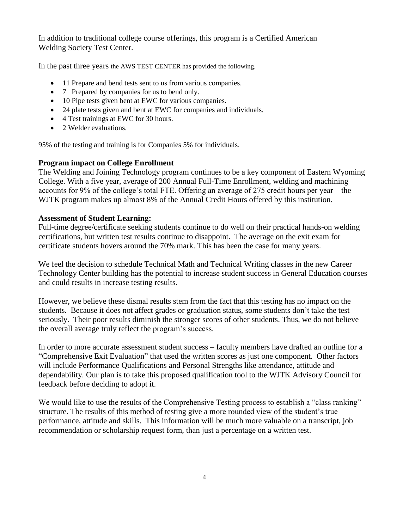In addition to traditional college course offerings, this program is a Certified American Welding Society Test Center.

In the past three years the AWS TEST CENTER has provided the following.

- 11 Prepare and bend tests sent to us from various companies.
- 7 Prepared by companies for us to bend only.
- 10 Pipe tests given bent at EWC for various companies.
- 24 plate tests given and bent at EWC for companies and individuals.
- 4 Test trainings at EWC for 30 hours.
- 2 Welder evaluations.

95% of the testing and training is for Companies 5% for individuals.

#### **Program impact on College Enrollment**

The Welding and Joining Technology program continues to be a key component of Eastern Wyoming College. With a five year, average of 200 Annual Full-Time Enrollment, welding and machining accounts for 9% of the college's total FTE. Offering an average of 275 credit hours per year – the WJTK program makes up almost 8% of the Annual Credit Hours offered by this institution.

#### **Assessment of Student Learning:**

Full-time degree/certificate seeking students continue to do well on their practical hands-on welding certifications, but written test results continue to disappoint. The average on the exit exam for certificate students hovers around the 70% mark. This has been the case for many years.

We feel the decision to schedule Technical Math and Technical Writing classes in the new Career Technology Center building has the potential to increase student success in General Education courses and could results in increase testing results.

However, we believe these dismal results stem from the fact that this testing has no impact on the students. Because it does not affect grades or graduation status, some students don't take the test seriously. Their poor results diminish the stronger scores of other students. Thus, we do not believe the overall average truly reflect the program's success.

In order to more accurate assessment student success – faculty members have drafted an outline for a "Comprehensive Exit Evaluation" that used the written scores as just one component. Other factors will include Performance Qualifications and Personal Strengths like attendance, attitude and dependability. Our plan is to take this proposed qualification tool to the WJTK Advisory Council for feedback before deciding to adopt it.

We would like to use the results of the Comprehensive Testing process to establish a "class ranking" structure. The results of this method of testing give a more rounded view of the student's true performance, attitude and skills. This information will be much more valuable on a transcript, job recommendation or scholarship request form, than just a percentage on a written test.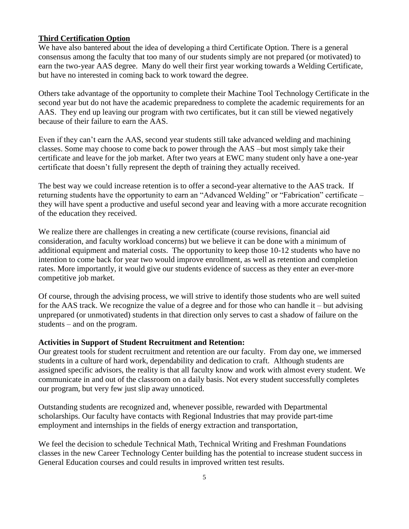#### **Third Certification Option**

We have also bantered about the idea of developing a third Certificate Option. There is a general consensus among the faculty that too many of our students simply are not prepared (or motivated) to earn the two-year AAS degree. Many do well their first year working towards a Welding Certificate, but have no interested in coming back to work toward the degree.

Others take advantage of the opportunity to complete their Machine Tool Technology Certificate in the second year but do not have the academic preparedness to complete the academic requirements for an AAS. They end up leaving our program with two certificates, but it can still be viewed negatively because of their failure to earn the AAS.

Even if they can't earn the AAS, second year students still take advanced welding and machining classes. Some may choose to come back to power through the AAS –but most simply take their certificate and leave for the job market. After two years at EWC many student only have a one-year certificate that doesn't fully represent the depth of training they actually received.

The best way we could increase retention is to offer a second-year alternative to the AAS track. If returning students have the opportunity to earn an "Advanced Welding" or "Fabrication" certificate – they will have spent a productive and useful second year and leaving with a more accurate recognition of the education they received.

We realize there are challenges in creating a new certificate (course revisions, financial aid consideration, and faculty workload concerns) but we believe it can be done with a minimum of additional equipment and material costs. The opportunity to keep those 10-12 students who have no intention to come back for year two would improve enrollment, as well as retention and completion rates. More importantly, it would give our students evidence of success as they enter an ever-more competitive job market.

Of course, through the advising process, we will strive to identify those students who are well suited for the AAS track. We recognize the value of a degree and for those who can handle it – but advising unprepared (or unmotivated) students in that direction only serves to cast a shadow of failure on the students – and on the program.

#### **Activities in Support of Student Recruitment and Retention:**

Our greatest tools for student recruitment and retention are our faculty. From day one, we immersed students in a culture of hard work, dependability and dedication to craft. Although students are assigned specific advisors, the reality is that all faculty know and work with almost every student. We communicate in and out of the classroom on a daily basis. Not every student successfully completes our program, but very few just slip away unnoticed.

Outstanding students are recognized and, whenever possible, rewarded with Departmental scholarships. Our faculty have contacts with Regional Industries that may provide part-time employment and internships in the fields of energy extraction and transportation,

We feel the decision to schedule Technical Math, Technical Writing and Freshman Foundations classes in the new Career Technology Center building has the potential to increase student success in General Education courses and could results in improved written test results.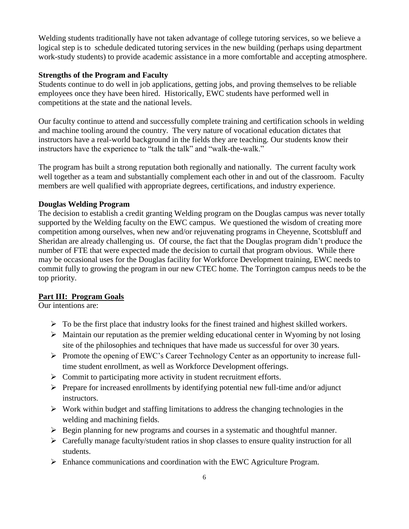Welding students traditionally have not taken advantage of college tutoring services, so we believe a logical step is to schedule dedicated tutoring services in the new building (perhaps using department work-study students) to provide academic assistance in a more comfortable and accepting atmosphere.

#### **Strengths of the Program and Faculty**

Students continue to do well in job applications, getting jobs, and proving themselves to be reliable employees once they have been hired. Historically, EWC students have performed well in competitions at the state and the national levels.

Our faculty continue to attend and successfully complete training and certification schools in welding and machine tooling around the country. The very nature of vocational education dictates that instructors have a real-world background in the fields they are teaching. Our students know their instructors have the experience to "talk the talk" and "walk-the-walk."

The program has built a strong reputation both regionally and nationally. The current faculty work well together as a team and substantially complement each other in and out of the classroom. Faculty members are well qualified with appropriate degrees, certifications, and industry experience.

#### **Douglas Welding Program**

The decision to establish a credit granting Welding program on the Douglas campus was never totally supported by the Welding faculty on the EWC campus. We questioned the wisdom of creating more competition among ourselves, when new and/or rejuvenating programs in Cheyenne, Scottsbluff and Sheridan are already challenging us. Of course, the fact that the Douglas program didn't produce the number of FTE that were expected made the decision to curtail that program obvious. While there may be occasional uses for the Douglas facility for Workforce Development training, EWC needs to commit fully to growing the program in our new CTEC home. The Torrington campus needs to be the top priority.

#### **Part III: Program Goals**

Our intentions are:

- $\triangleright$  To be the first place that industry looks for the finest trained and highest skilled workers.
- $\triangleright$  Maintain our reputation as the premier welding educational center in Wyoming by not losing site of the philosophies and techniques that have made us successful for over 30 years.
- Promote the opening of EWC's Career Technology Center as an opportunity to increase fulltime student enrollment, as well as Workforce Development offerings.
- $\triangleright$  Commit to participating more activity in student recruitment efforts.
- $\triangleright$  Prepare for increased enrollments by identifying potential new full-time and/or adjunct instructors.
- $\triangleright$  Work within budget and staffing limitations to address the changing technologies in the welding and machining fields.
- $\triangleright$  Begin planning for new programs and courses in a systematic and thoughtful manner.
- $\triangleright$  Carefully manage faculty/student ratios in shop classes to ensure quality instruction for all students.
- $\triangleright$  Enhance communications and coordination with the EWC Agriculture Program.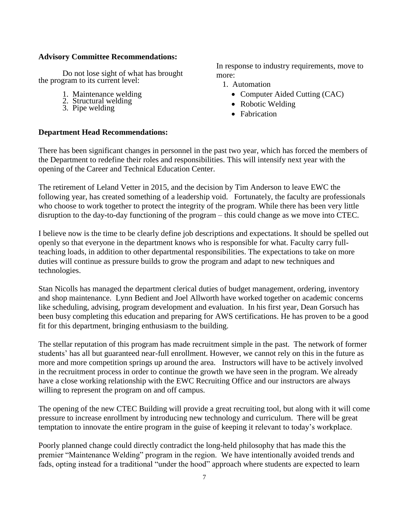#### **Advisory Committee Recommendations:**

Do not lose sight of what has brought the program to its current level:

- 1. Maintenance welding
- 2. Structural welding
- 3. Pipe welding

In response to industry requirements, move to more:

- 1. Automation
	- Computer Aided Cutting (CAC)
	- Robotic Welding
	- Fabrication

#### **Department Head Recommendations:**

There has been significant changes in personnel in the past two year, which has forced the members of the Department to redefine their roles and responsibilities. This will intensify next year with the opening of the Career and Technical Education Center.

The retirement of Leland Vetter in 2015, and the decision by Tim Anderson to leave EWC the following year, has created something of a leadership void. Fortunately, the faculty are professionals who choose to work together to protect the integrity of the program. While there has been very little disruption to the day-to-day functioning of the program – this could change as we move into CTEC.

I believe now is the time to be clearly define job descriptions and expectations. It should be spelled out openly so that everyone in the department knows who is responsible for what. Faculty carry fullteaching loads, in addition to other departmental responsibilities. The expectations to take on more duties will continue as pressure builds to grow the program and adapt to new techniques and technologies.

Stan Nicolls has managed the department clerical duties of budget management, ordering, inventory and shop maintenance. Lynn Bedient and Joel Allworth have worked together on academic concerns like scheduling, advising, program development and evaluation. In his first year, Dean Gorsuch has been busy completing this education and preparing for AWS certifications. He has proven to be a good fit for this department, bringing enthusiasm to the building.

The stellar reputation of this program has made recruitment simple in the past. The network of former students' has all but guaranteed near-full enrollment. However, we cannot rely on this in the future as more and more competition springs up around the area. Instructors will have to be actively involved in the recruitment process in order to continue the growth we have seen in the program. We already have a close working relationship with the EWC Recruiting Office and our instructors are always willing to represent the program on and off campus.

The opening of the new CTEC Building will provide a great recruiting tool, but along with it will come pressure to increase enrollment by introducing new technology and curriculum. There will be great temptation to innovate the entire program in the guise of keeping it relevant to today's workplace.

Poorly planned change could directly contradict the long-held philosophy that has made this the premier "Maintenance Welding" program in the region. We have intentionally avoided trends and fads, opting instead for a traditional "under the hood" approach where students are expected to learn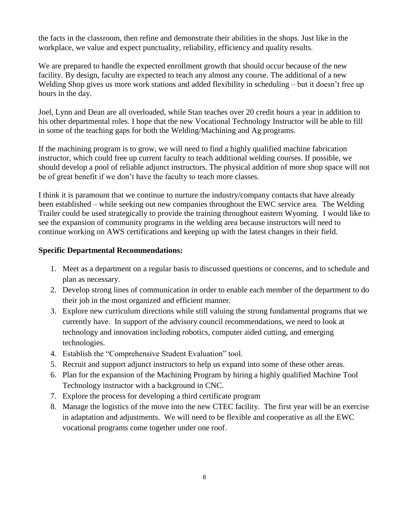the facts in the classroom, then refine and demonstrate their abilities in the shops. Just like in the workplace, we value and expect punctuality, reliability, efficiency and quality results.

We are prepared to handle the expected enrollment growth that should occur because of the new facility. By design, faculty are expected to teach any almost any course. The additional of a new Welding Shop gives us more work stations and added flexibility in scheduling – but it doesn't free up hours in the day.

Joel, Lynn and Dean are all overloaded, while Stan teaches over 20 credit hours a year in addition to his other departmental roles. I hope that the new Vocational Technology Instructor will be able to fill in some of the teaching gaps for both the Welding/Machining and Ag programs.

If the machining program is to grow, we will need to find a highly qualified machine fabrication instructor, which could free up current faculty to teach additional welding courses. If possible, we should develop a pool of reliable adjunct instructors. The physical addition of more shop space will not be of great benefit if we don't have the faculty to teach more classes.

I think it is paramount that we continue to nurture the industry/company contacts that have already been established – while seeking out new companies throughout the EWC service area. The Welding Trailer could be used strategically to provide the training throughout eastern Wyoming. I would like to see the expansion of community programs in the welding area because instructors will need to continue working on AWS certifications and keeping up with the latest changes in their field.

#### **Specific Departmental Recommendations:**

- 1. Meet as a department on a regular basis to discussed questions or concerns, and to schedule and plan as necessary.
- 2. Develop strong lines of communication in order to enable each member of the department to do their job in the most organized and efficient manner.
- 3. Explore new curriculum directions while still valuing the strong fundamental programs that we currently have. In support of the advisory council recommendations, we need to look at technology and innovation including robotics, computer aided cutting, and emerging technologies.
- 4. Establish the "Comprehensive Student Evaluation" tool.
- 5. Recruit and support adjunct instructors to help us expand into some of these other areas.
- 6. Plan for the expansion of the Machining Program by hiring a highly qualified Machine Tool Technology instructor with a background in CNC.
- 7. Explore the process for developing a third certificate program
- 8. Manage the logistics of the move into the new CTEC facility. The first year will be an exercise in adaptation and adjustments. We will need to be flexible and cooperative as all the EWC vocational programs come together under one roof.